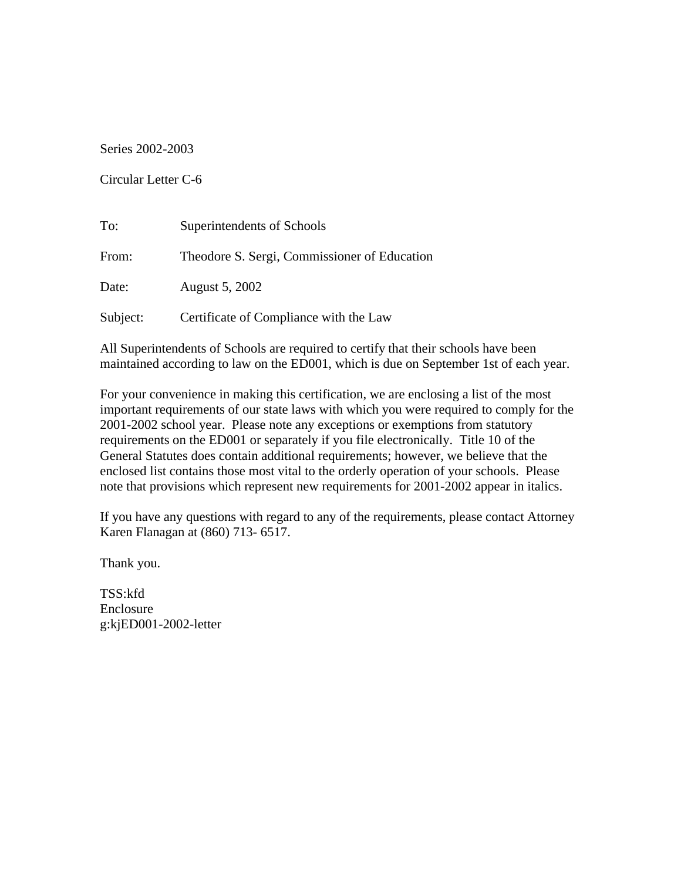Series 2002-2003

Circular Letter C-6

| To:      | Superintendents of Schools                   |
|----------|----------------------------------------------|
| From:    | Theodore S. Sergi, Commissioner of Education |
| Date:    | August 5, 2002                               |
| Subject: | Certificate of Compliance with the Law       |

All Superintendents of Schools are required to certify that their schools have been maintained according to law on the ED001, which is due on September 1st of each year.

For your convenience in making this certification, we are enclosing a list of the most important requirements of our state laws with which you were required to comply for the 2001-2002 school year. Please note any exceptions or exemptions from statutory requirements on the ED001 or separately if you file electronically. Title 10 of the General Statutes does contain additional requirements; however, we believe that the enclosed list contains those most vital to the orderly operation of your schools. Please note that provisions which represent new requirements for 2001-2002 appear in italics.

If you have any questions with regard to any of the requirements, please contact Attorney Karen Flanagan at (860) 713- 6517.

Thank you.

TSS:kfd Enclosure g:kjED001-2002-letter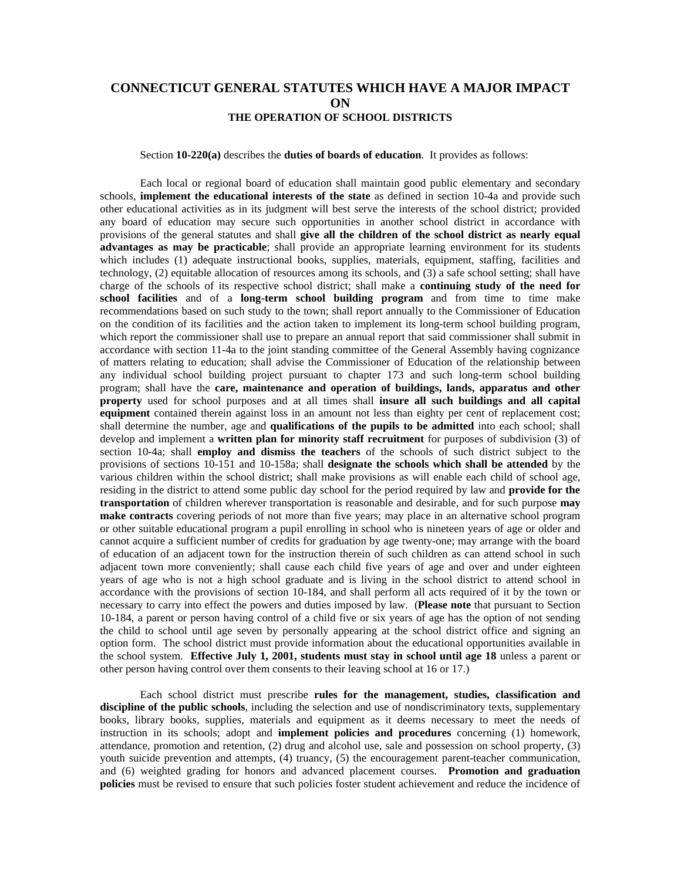## **CONNECTICUT GENERAL STATUTES WHICH HAVE A MAJOR IMPACT ON THE OPERATION OF SCHOOL DISTRICTS**

## Section **10-220(a)** describes the **duties of boards of education**. It provides as follows:

Each local or regional board of education shall maintain good public elementary and secondary schools, **implement the educational interests of the state** as defined in section 10-4a and provide such other educational activities as in its judgment will best serve the interests of the school district; provided any board of education may secure such opportunities in another school district in accordance with provisions of the general statutes and shall **give all the children of the school district as nearly equal advantages as may be practicable**; shall provide an appropriate learning environment for its students which includes (1) adequate instructional books, supplies, materials, equipment, staffing, facilities and technology, (2) equitable allocation of resources among its schools, and (3) a safe school setting; shall have charge of the schools of its respective school district; shall make a **continuing study of the need for school facilities** and of a **long-term school building program** and from time to time make recommendations based on such study to the town; shall report annually to the Commissioner of Education on the condition of its facilities and the action taken to implement its long-term school building program, which report the commissioner shall use to prepare an annual report that said commissioner shall submit in accordance with section 11-4a to the joint standing committee of the General Assembly having cognizance of matters relating to education; shall advise the Commissioner of Education of the relationship between any individual school building project pursuant to chapter 173 and such long-term school building program; shall have the **care, maintenance and operation of buildings, lands, apparatus and other property** used for school purposes and at all times shall **insure all such buildings and all capital equipment** contained therein against loss in an amount not less than eighty per cent of replacement cost; shall determine the number, age and **qualifications of the pupils to be admitted** into each school; shall develop and implement a **written plan for minority staff recruitment** for purposes of subdivision (3) of section 10-4a; shall **employ and dismiss the teachers** of the schools of such district subject to the provisions of sections 10-151 and 10-158a; shall **designate the schools which shall be attended** by the various children within the school district; shall make provisions as will enable each child of school age, residing in the district to attend some public day school for the period required by law and **provide for the transportation** of children wherever transportation is reasonable and desirable, and for such purpose **may make contracts** covering periods of not more than five years; may place in an alternative school program or other suitable educational program a pupil enrolling in school who is nineteen years of age or older and cannot acquire a sufficient number of credits for graduation by age twenty-one; may arrange with the board of education of an adjacent town for the instruction therein of such children as can attend school in such adjacent town more conveniently; shall cause each child five years of age and over and under eighteen years of age who is not a high school graduate and is living in the school district to attend school in accordance with the provisions of section 10-184, and shall perform all acts required of it by the town or necessary to carry into effect the powers and duties imposed by law. (**Please note** that pursuant to Section 10-184, a parent or person having control of a child five or six years of age has the option of not sending the child to school until age seven by personally appearing at the school district office and signing an option form. The school district must provide information about the educational opportunities available in the school system. **Effective July 1, 2001, students must stay in school until age 18** unless a parent or other person having control over them consents to their leaving school at 16 or 17.)

Each school district must prescribe **rules for the management, studies, classification and discipline of the public schools**, including the selection and use of nondiscriminatory texts, supplementary books, library books, supplies, materials and equipment as it deems necessary to meet the needs of instruction in its schools; adopt and **implement policies and procedures** concerning (1) homework, attendance, promotion and retention, (2) drug and alcohol use, sale and possession on school property, (3) youth suicide prevention and attempts, (4) truancy, (5) the encouragement parent-teacher communication*,*  and (6) weighted grading for honors and advanced placement courses. **Promotion and graduation policies** must be revised to ensure that such policies foster student achievement and reduce the incidence of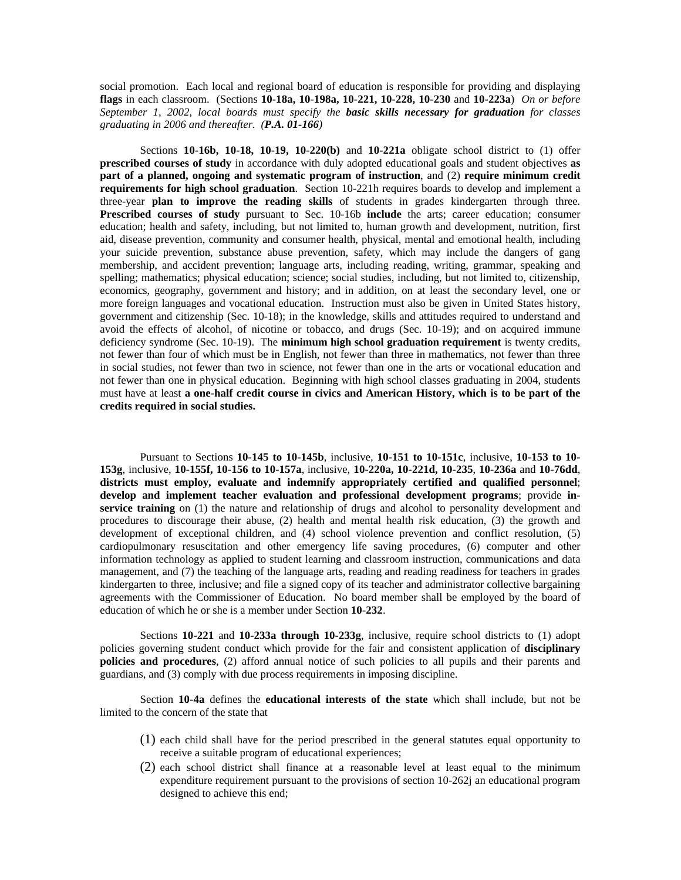social promotion. Each local and regional board of education is responsible for providing and displaying **flags** in each classroom. (Sections **10-18a, 10-198a, 10-221, 10-228, 10-230** and **10-223a**) *On or before September 1, 2002, local boards must specify the basic skills necessary for graduation for classes graduating in 2006 and thereafter. (P.A. 01-166)* 

Sections **10-16b, 10-18, 10-19, 10-220(b)** and **10-221a** obligate school district to (1) offer **prescribed courses of study** in accordance with duly adopted educational goals and student objectives **as part of a planned, ongoing and systematic program of instruction**, and (2) **require minimum credit requirements for high school graduation**. Section 10-221h requires boards to develop and implement a three-year **plan to improve the reading skills** of students in grades kindergarten through three*.*  **Prescribed courses of study** pursuant to Sec. 10-16b **include** the arts; career education; consumer education; health and safety, including, but not limited to, human growth and development, nutrition, first aid, disease prevention, community and consumer health, physical, mental and emotional health, including your suicide prevention, substance abuse prevention, safety, which may include the dangers of gang membership, and accident prevention; language arts, including reading, writing, grammar, speaking and spelling; mathematics; physical education; science; social studies, including, but not limited to, citizenship, economics, geography, government and history; and in addition, on at least the secondary level, one or more foreign languages and vocational education. Instruction must also be given in United States history, government and citizenship (Sec. 10-18); in the knowledge, skills and attitudes required to understand and avoid the effects of alcohol, of nicotine or tobacco, and drugs (Sec. 10-19); and on acquired immune deficiency syndrome (Sec. 10-19). The **minimum high school graduation requirement** is twenty credits, not fewer than four of which must be in English, not fewer than three in mathematics, not fewer than three in social studies, not fewer than two in science, not fewer than one in the arts or vocational education and not fewer than one in physical education. Beginning with high school classes graduating in 2004, students must have at least **a one-half credit course in civics and American History, which is to be part of the credits required in social studies.** 

Pursuant to Sections **10-145 to 10-145b**, inclusive, **10-151 to 10-151c**, inclusive, **10-153 to 10- 153g**, inclusive, **10-155f, 10-156 to 10-157a**, inclusive, **10-220a, 10-221d, 10-235**, **10-236a** and **10-76dd**, **districts must employ, evaluate and indemnify appropriately certified and qualified personnel**; **develop and implement teacher evaluation and professional development programs**; provide **inservice training** on (1) the nature and relationship of drugs and alcohol to personality development and procedures to discourage their abuse, (2) health and mental health risk education, (3) the growth and development of exceptional children, and (4) school violence prevention and conflict resolution, (5) cardiopulmonary resuscitation and other emergency life saving procedures, (6) computer and other information technology as applied to student learning and classroom instruction, communications and data management, and (7) the teaching of the language arts, reading and reading readiness for teachers in grades kindergarten to three*,* inclusive; and file a signed copy of its teacher and administrator collective bargaining agreements with the Commissioner of Education. No board member shall be employed by the board of education of which he or she is a member under Section **10-232**.

Sections **10-221** and **10-233a through 10-233g**, inclusive, require school districts to (1) adopt policies governing student conduct which provide for the fair and consistent application of **disciplinary policies and procedures**, (2) afford annual notice of such policies to all pupils and their parents and guardians, and (3) comply with due process requirements in imposing discipline.

Section **10-4a** defines the **educational interests of the state** which shall include, but not be limited to the concern of the state that

- (1) each child shall have for the period prescribed in the general statutes equal opportunity to receive a suitable program of educational experiences;
- (2) each school district shall finance at a reasonable level at least equal to the minimum expenditure requirement pursuant to the provisions of section 10-262j an educational program designed to achieve this end;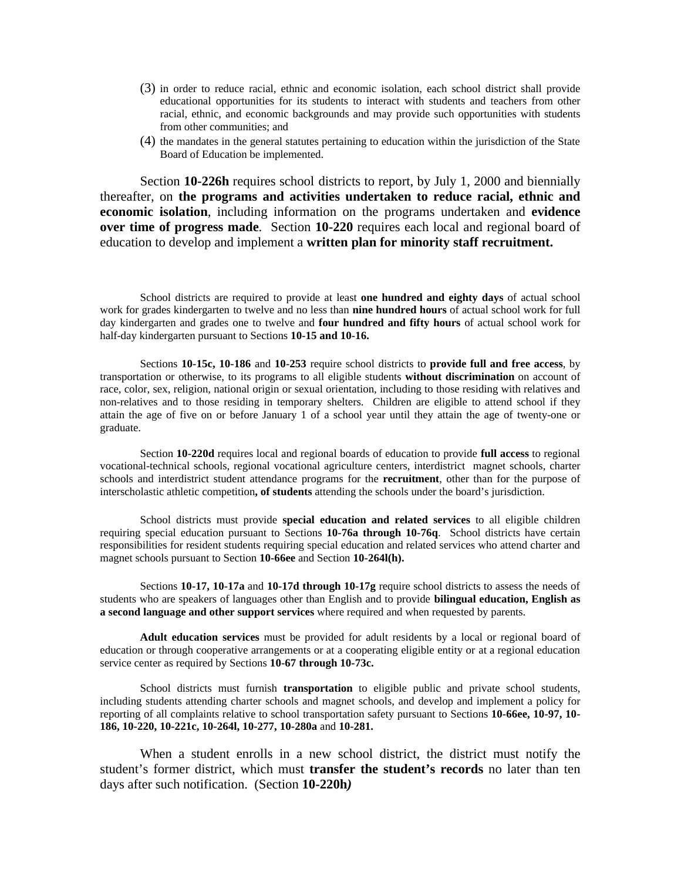- (3) in order to reduce racial, ethnic and economic isolation, each school district shall provide educational opportunities for its students to interact with students and teachers from other racial, ethnic, and economic backgrounds and may provide such opportunities with students from other communities; and
- (4) the mandates in the general statutes pertaining to education within the jurisdiction of the State Board of Education be implemented.

Section **10-226h** requires school districts to report, by July 1, 2000 and biennially thereafter, on **the programs and activities undertaken to reduce racial, ethnic and economic isolation**, including information on the programs undertaken and **evidence over time of progress made**. Section **10-220** requires each local and regional board of education to develop and implement a **written plan for minority staff recruitment.** 

School districts are required to provide at least **one hundred and eighty days** of actual school work for grades kindergarten to twelve and no less than **nine hundred hours** of actual school work for full day kindergarten and grades one to twelve and **four hundred and fifty hours** of actual school work for half-day kindergarten pursuant to Sections **10-15 and 10-16.** 

Sections **10-15c, 10-186** and **10-253** require school districts to **provide full and free access**, by transportation or otherwise, to its programs to all eligible students **without discrimination** on account of race, color, sex, religion, national origin or sexual orientation*,* including to those residing with relatives and non-relatives and to those residing in temporary shelters. Children are eligible to attend school if they attain the age of five on or before January 1 of a school year until they attain the age of twenty-one or graduate.

Section **10-220d** requires local and regional boards of education to provide **full access** to regional vocational-technical schools, regional vocational agriculture centers, interdistrict magnet schools, charter schools and interdistrict student attendance programs for the **recruitment**, other than for the purpose of interscholastic athletic competition**, of students** attending the schools under the board's jurisdiction.

School districts must provide **special education and related services** to all eligible children requiring special education pursuant to Sections **10-76a through 10-76q**. School districts have certain responsibilities for resident students requiring special education and related services who attend charter and magnet schools pursuant to Section **10-66ee** and Section **10-264l(h).** 

Sections **10-17, 10-17a** and **10-17d through 10-17g** require school districts to assess the needs of students who are speakers of languages other than English and to provide **bilingual education, English as a second language and other support services** where required and when requested by parents.

**Adult education services** must be provided for adult residents by a local or regional board of education or through cooperative arrangements or at a cooperating eligible entity or at a regional education service center as required by Sections **10-67 through 10-73c.** 

School districts must furnish **transportation** to eligible public and private school students, including students attending charter schools and magnet schools, and develop and implement a policy for reporting of all complaints relative to school transportation safety pursuant to Sections **10-66ee, 10-97, 10- 186, 10-220, 10-221c, 10-264l, 10-277, 10-280a** and **10-281.** 

When a student enrolls in a new school district, the district must notify the student's former district, which must **transfer the student's records** no later than ten days after such notification. (Section **10-220h***)*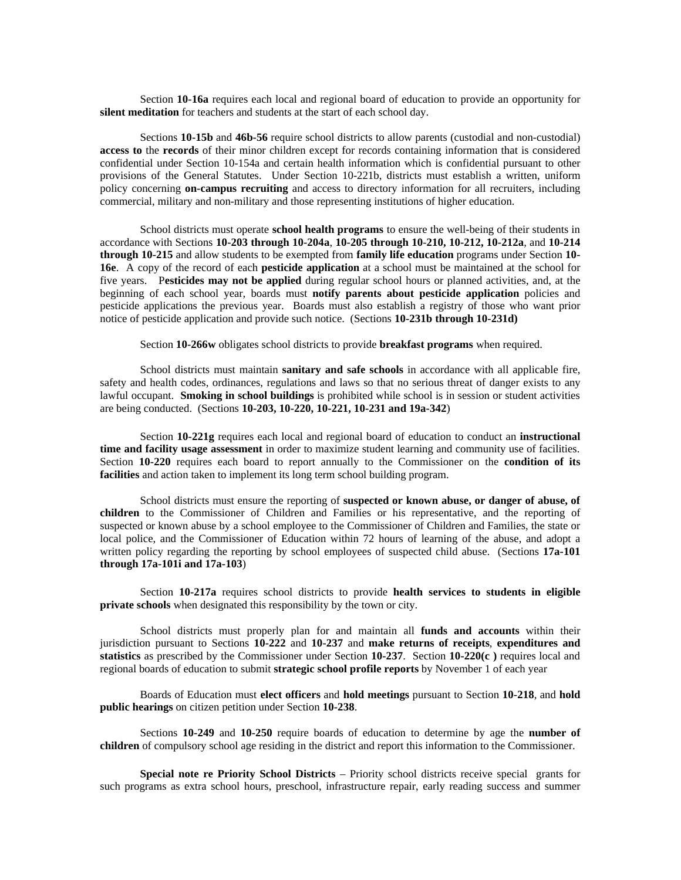Section **10-16a** requires each local and regional board of education to provide an opportunity for **silent meditation** for teachers and students at the start of each school day.

Sections **10-15b** and **46b-56** require school districts to allow parents (custodial and non-custodial) **access to** the **records** of their minor children except for records containing information that is considered confidential under Section 10-154a and certain health information which is confidential pursuant to other provisions of the General Statutes. Under Section 10-221b, districts must establish a written, uniform policy concerning **on-campus recruiting** and access to directory information for all recruiters, including commercial, military and non-military and those representing institutions of higher education.

School districts must operate **school health programs** to ensure the well-being of their students in accordance with Sections **10-203 through 10-204a**, **10-205 through 10**-**210, 10-212, 10-212a**, and **10-214 through 10-215** and allow students to be exempted from **family life education** programs under Section **10- 16e**. A copy of the record of each **pesticide application** at a school must be maintained at the school for five years. P**esticides may not be applied** during regular school hours or planned activities, and, at the beginning of each school year, boards must **notify parents about pesticide application** policies and pesticide applications the previous year. Boards must also establish a registry of those who want prior notice of pesticide application and provide such notice. (Sections **10-231b through 10-231d)** 

Section **10-266w** obligates school districts to provide **breakfast programs** when required.

School districts must maintain **sanitary and safe schools** in accordance with all applicable fire, safety and health codes, ordinances, regulations and laws so that no serious threat of danger exists to any lawful occupant. **Smoking in school buildings** is prohibited while school is in session or student activities are being conducted. (Sections **10-203, 10-220, 10-221, 10-231 and 19a-342**)

Section **10-221g** requires each local and regional board of education to conduct an **instructional time and facility usage assessment** in order to maximize student learning and community use of facilities. Section **10-220** requires each board to report annually to the Commissioner on the **condition of its facilities** and action taken to implement its long term school building program.

School districts must ensure the reporting of **suspected or known abuse, or danger of abuse, of children** to the Commissioner of Children and Families or his representative, and the reporting of suspected or known abuse by a school employee to the Commissioner of Children and Families, the state or local police, and the Commissioner of Education within 72 hours of learning of the abuse, and adopt a written policy regarding the reporting by school employees of suspected child abuse. (Sections **17a-101 through 17a-101i and 17a-103**)

Section **10-217a** requires school districts to provide **health services to students in eligible private schools** when designated this responsibility by the town or city.

School districts must properly plan for and maintain all **funds and accounts** within their jurisdiction pursuant to Sections **10-222** and **10-237** and **make returns of receipts**, **expenditures and statistics** as prescribed by the Commissioner under Section **10-237**. Section **10-220(c )** requires local and regional boards of education to submit **strategic school profile reports** by November 1 of each year

Boards of Education must **elect officers** and **hold meetings** pursuant to Section **10-218**, and **hold public hearings** on citizen petition under Section **10-238**.

Sections **10-249** and **10-250** require boards of education to determine by age the **number of children** of compulsory school age residing in the district and report this information to the Commissioner.

**Special note re Priority School Districts** – Priority school districts receive special grants for such programs as extra school hours, preschool, infrastructure repair, early reading success and summer